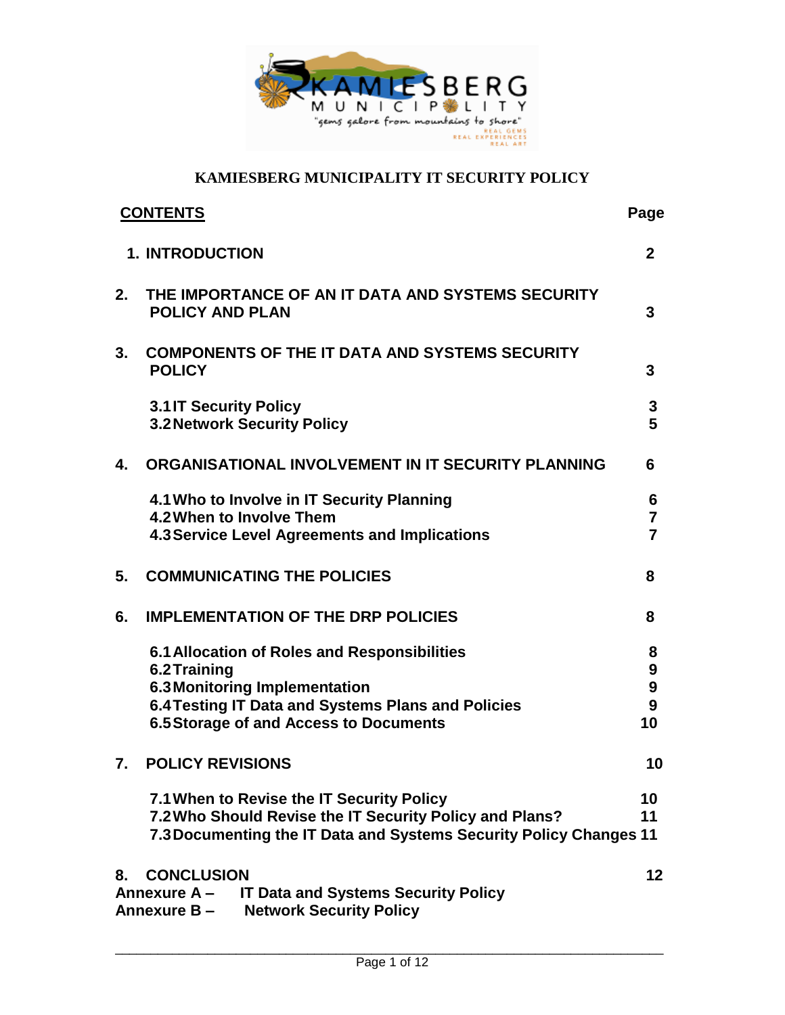

| <b>1. INTRODUCTION</b><br>$\mathbf{2}$<br>2.<br>THE IMPORTANCE OF AN IT DATA AND SYSTEMS SECURITY<br><b>POLICY AND PLAN</b><br>3<br><b>COMPONENTS OF THE IT DATA AND SYSTEMS SECURITY</b><br>3.<br><b>POLICY</b><br>3<br><b>3.1 IT Security Policy</b><br>3<br>5<br><b>3.2 Network Security Policy</b><br>ORGANISATIONAL INVOLVEMENT IN IT SECURITY PLANNING<br>4.<br>6<br>4.1 Who to Involve in IT Security Planning<br>6<br>4.2 When to Involve Them<br>$\overline{7}$<br>$\overline{7}$<br>4.3 Service Level Agreements and Implications<br><b>COMMUNICATING THE POLICIES</b><br>5.<br>8<br><b>IMPLEMENTATION OF THE DRP POLICIES</b><br>6.<br>8<br>6.1 Allocation of Roles and Responsibilities<br>8<br>6.2 Training<br>9<br>$\boldsymbol{9}$<br>6.3 Monitoring Implementation<br>6.4 Testing IT Data and Systems Plans and Policies<br>9<br><b>6.5 Storage of and Access to Documents</b><br>10<br><b>POLICY REVISIONS</b><br>7.<br>7.1 When to Revise the IT Security Policy<br>10<br>7.2 Who Should Revise the IT Security Policy and Plans?<br>11<br>7.3 Documenting the IT Data and Systems Security Policy Changes 11<br><b>CONCLUSION</b><br>8.<br><b>IT Data and Systems Security Policy</b><br>Annexure A-<br><b>Network Security Policy</b><br>Annexure B- | <b>CONTENTS</b> | Page |
|--------------------------------------------------------------------------------------------------------------------------------------------------------------------------------------------------------------------------------------------------------------------------------------------------------------------------------------------------------------------------------------------------------------------------------------------------------------------------------------------------------------------------------------------------------------------------------------------------------------------------------------------------------------------------------------------------------------------------------------------------------------------------------------------------------------------------------------------------------------------------------------------------------------------------------------------------------------------------------------------------------------------------------------------------------------------------------------------------------------------------------------------------------------------------------------------------------------------------------------------------------------------------|-----------------|------|
|                                                                                                                                                                                                                                                                                                                                                                                                                                                                                                                                                                                                                                                                                                                                                                                                                                                                                                                                                                                                                                                                                                                                                                                                                                                                          |                 |      |
|                                                                                                                                                                                                                                                                                                                                                                                                                                                                                                                                                                                                                                                                                                                                                                                                                                                                                                                                                                                                                                                                                                                                                                                                                                                                          |                 |      |
|                                                                                                                                                                                                                                                                                                                                                                                                                                                                                                                                                                                                                                                                                                                                                                                                                                                                                                                                                                                                                                                                                                                                                                                                                                                                          |                 |      |
|                                                                                                                                                                                                                                                                                                                                                                                                                                                                                                                                                                                                                                                                                                                                                                                                                                                                                                                                                                                                                                                                                                                                                                                                                                                                          |                 |      |
|                                                                                                                                                                                                                                                                                                                                                                                                                                                                                                                                                                                                                                                                                                                                                                                                                                                                                                                                                                                                                                                                                                                                                                                                                                                                          |                 |      |
|                                                                                                                                                                                                                                                                                                                                                                                                                                                                                                                                                                                                                                                                                                                                                                                                                                                                                                                                                                                                                                                                                                                                                                                                                                                                          |                 |      |
|                                                                                                                                                                                                                                                                                                                                                                                                                                                                                                                                                                                                                                                                                                                                                                                                                                                                                                                                                                                                                                                                                                                                                                                                                                                                          |                 |      |
|                                                                                                                                                                                                                                                                                                                                                                                                                                                                                                                                                                                                                                                                                                                                                                                                                                                                                                                                                                                                                                                                                                                                                                                                                                                                          |                 |      |
|                                                                                                                                                                                                                                                                                                                                                                                                                                                                                                                                                                                                                                                                                                                                                                                                                                                                                                                                                                                                                                                                                                                                                                                                                                                                          |                 |      |
|                                                                                                                                                                                                                                                                                                                                                                                                                                                                                                                                                                                                                                                                                                                                                                                                                                                                                                                                                                                                                                                                                                                                                                                                                                                                          |                 | 10   |
|                                                                                                                                                                                                                                                                                                                                                                                                                                                                                                                                                                                                                                                                                                                                                                                                                                                                                                                                                                                                                                                                                                                                                                                                                                                                          |                 |      |
|                                                                                                                                                                                                                                                                                                                                                                                                                                                                                                                                                                                                                                                                                                                                                                                                                                                                                                                                                                                                                                                                                                                                                                                                                                                                          |                 | 12   |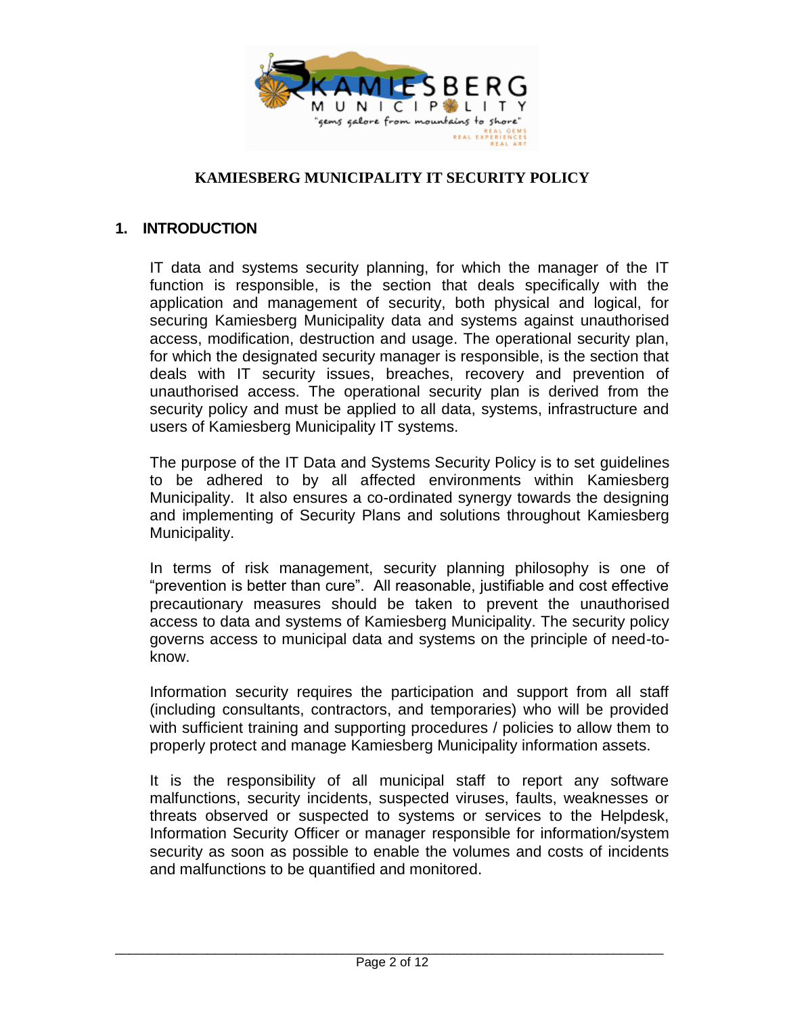

# <span id="page-1-0"></span>**1. INTRODUCTION**

IT data and systems security planning, for which the manager of the IT function is responsible, is the section that deals specifically with the application and management of security, both physical and logical, for securing Kamiesberg Municipality data and systems against unauthorised access, modification, destruction and usage. The operational security plan, for which the designated security manager is responsible, is the section that deals with IT security issues, breaches, recovery and prevention of unauthorised access. The operational security plan is derived from the security policy and must be applied to all data, systems, infrastructure and users of Kamiesberg Municipality IT systems.

The purpose of the IT Data and Systems Security Policy is to set guidelines to be adhered to by all affected environments within Kamiesberg Municipality. It also ensures a co-ordinated synergy towards the designing and implementing of Security Plans and solutions throughout Kamiesberg Municipality.

In terms of risk management, security planning philosophy is one of "prevention is better than cure". All reasonable, justifiable and cost effective precautionary measures should be taken to prevent the unauthorised access to data and systems of Kamiesberg Municipality. The security policy governs access to municipal data and systems on the principle of need-toknow.

Information security requires the participation and support from all staff (including consultants, contractors, and temporaries) who will be provided with sufficient training and supporting procedures / policies to allow them to properly protect and manage Kamiesberg Municipality information assets.

It is the responsibility of all municipal staff to report any software malfunctions, security incidents, suspected viruses, faults, weaknesses or threats observed or suspected to systems or services to the Helpdesk, Information Security Officer or manager responsible for information/system security as soon as possible to enable the volumes and costs of incidents and malfunctions to be quantified and monitored.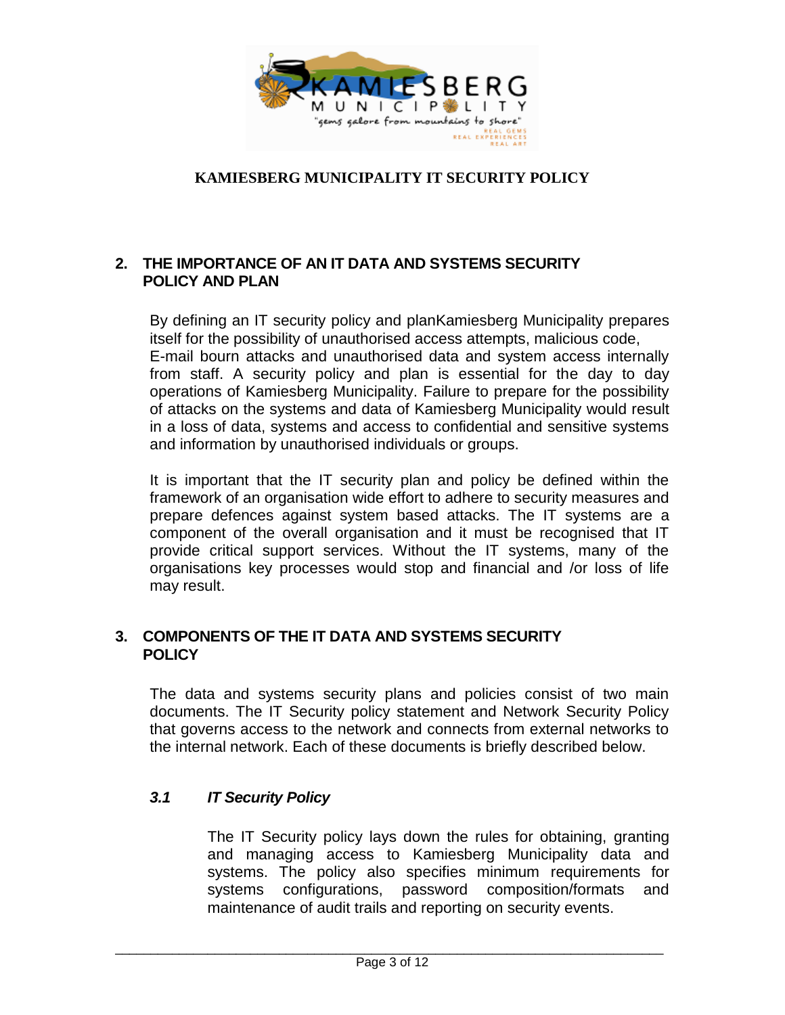

### <span id="page-2-0"></span>**2. THE IMPORTANCE OF AN IT DATA AND SYSTEMS SECURITY POLICY AND PLAN**

By defining an IT security policy and planKamiesberg Municipality prepares itself for the possibility of unauthorised access attempts, malicious code, E-mail bourn attacks and unauthorised data and system access internally from staff. A security policy and plan is essential for the day to day operations of Kamiesberg Municipality. Failure to prepare for the possibility of attacks on the systems and data of Kamiesberg Municipality would result in a loss of data, systems and access to confidential and sensitive systems and information by unauthorised individuals or groups.

It is important that the IT security plan and policy be defined within the framework of an organisation wide effort to adhere to security measures and prepare defences against system based attacks. The IT systems are a component of the overall organisation and it must be recognised that IT provide critical support services. Without the IT systems, many of the organisations key processes would stop and financial and /or loss of life may result.

#### <span id="page-2-1"></span>**3. COMPONENTS OF THE IT DATA AND SYSTEMS SECURITY POLICY**

The data and systems security plans and policies consist of two main documents. The IT Security policy statement and Network Security Policy that governs access to the network and connects from external networks to the internal network. Each of these documents is briefly described below.

# <span id="page-2-2"></span>*3.1 IT Security Policy*

The IT Security policy lays down the rules for obtaining, granting and managing access to Kamiesberg Municipality data and systems. The policy also specifies minimum requirements for systems configurations, password composition/formats and maintenance of audit trails and reporting on security events.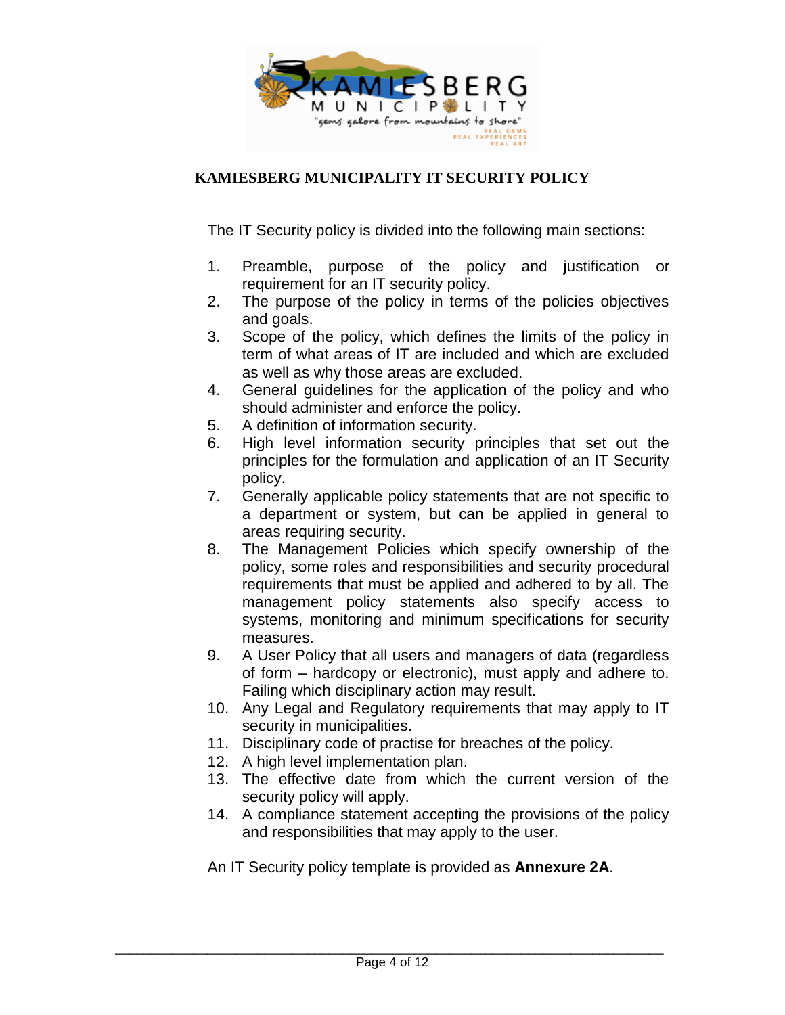

The IT Security policy is divided into the following main sections:

- 1. Preamble, purpose of the policy and justification or requirement for an IT security policy.
- 2. The purpose of the policy in terms of the policies objectives and goals.
- 3. Scope of the policy, which defines the limits of the policy in term of what areas of IT are included and which are excluded as well as why those areas are excluded.
- 4. General guidelines for the application of the policy and who should administer and enforce the policy.
- 5. A definition of information security.
- 6. High level information security principles that set out the principles for the formulation and application of an IT Security policy.
- 7. Generally applicable policy statements that are not specific to a department or system, but can be applied in general to areas requiring security.
- 8. The Management Policies which specify ownership of the policy, some roles and responsibilities and security procedural requirements that must be applied and adhered to by all. The management policy statements also specify access to systems, monitoring and minimum specifications for security measures.
- 9. A User Policy that all users and managers of data (regardless of form – hardcopy or electronic), must apply and adhere to. Failing which disciplinary action may result.
- 10. Any Legal and Regulatory requirements that may apply to IT security in municipalities.
- 11. Disciplinary code of practise for breaches of the policy.
- 12. A high level implementation plan.
- 13. The effective date from which the current version of the security policy will apply.
- 14. A compliance statement accepting the provisions of the policy and responsibilities that may apply to the user.

An IT Security policy template is provided as **Annexure 2A**.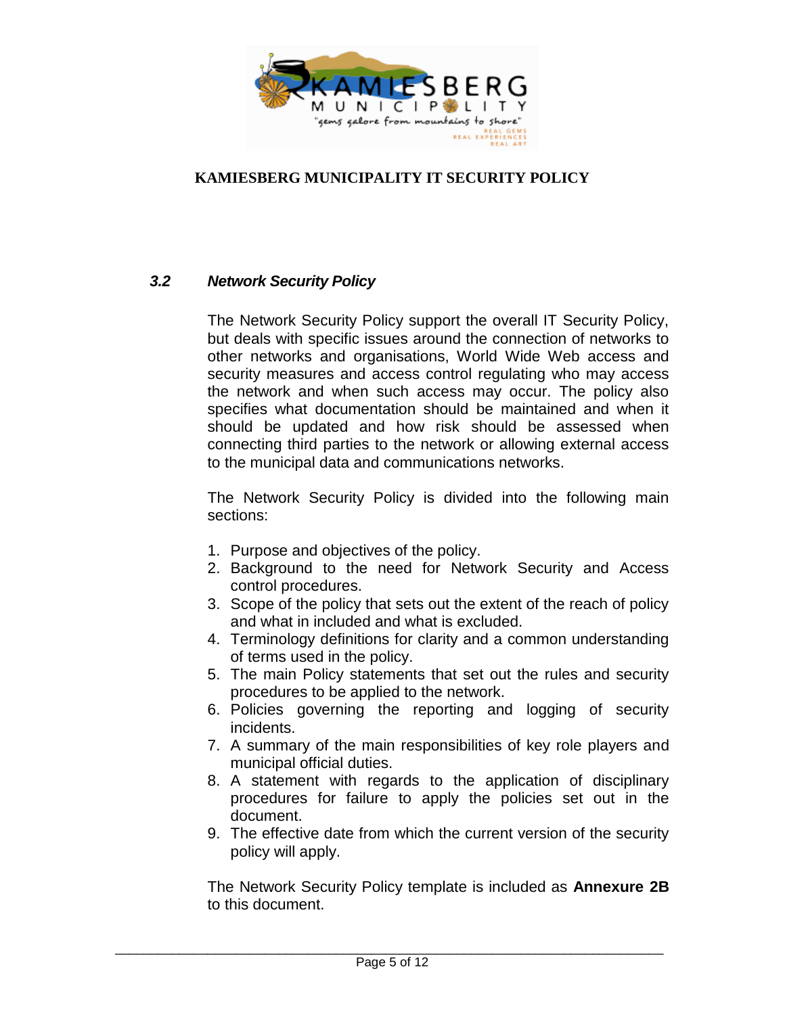

# <span id="page-4-0"></span>*3.2 Network Security Policy*

The Network Security Policy support the overall IT Security Policy, but deals with specific issues around the connection of networks to other networks and organisations, World Wide Web access and security measures and access control regulating who may access the network and when such access may occur. The policy also specifies what documentation should be maintained and when it should be updated and how risk should be assessed when connecting third parties to the network or allowing external access to the municipal data and communications networks.

The Network Security Policy is divided into the following main sections:

- 1. Purpose and objectives of the policy.
- 2. Background to the need for Network Security and Access control procedures.
- 3. Scope of the policy that sets out the extent of the reach of policy and what in included and what is excluded.
- 4. Terminology definitions for clarity and a common understanding of terms used in the policy.
- 5. The main Policy statements that set out the rules and security procedures to be applied to the network.
- 6. Policies governing the reporting and logging of security incidents.
- 7. A summary of the main responsibilities of key role players and municipal official duties.
- 8. A statement with regards to the application of disciplinary procedures for failure to apply the policies set out in the document.
- 9. The effective date from which the current version of the security policy will apply.

The Network Security Policy template is included as **Annexure 2B** to this document.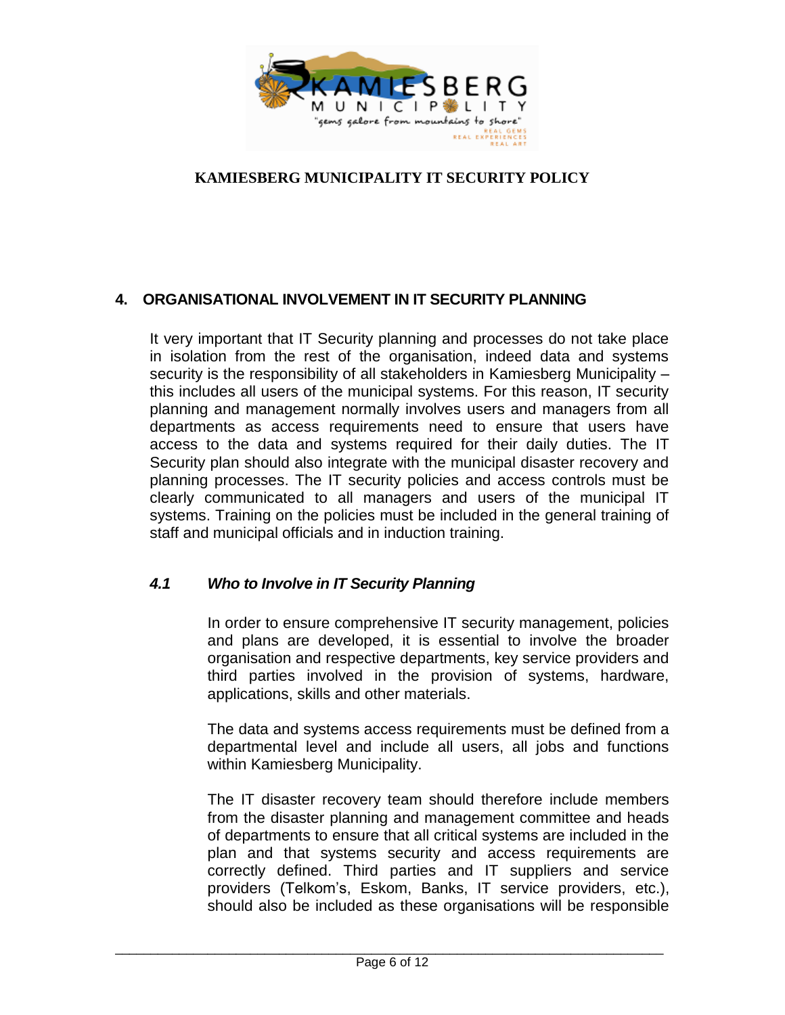

# <span id="page-5-0"></span>**4. ORGANISATIONAL INVOLVEMENT IN IT SECURITY PLANNING**

It very important that IT Security planning and processes do not take place in isolation from the rest of the organisation, indeed data and systems security is the responsibility of all stakeholders in Kamiesberg Municipality – this includes all users of the municipal systems. For this reason, IT security planning and management normally involves users and managers from all departments as access requirements need to ensure that users have access to the data and systems required for their daily duties. The IT Security plan should also integrate with the municipal disaster recovery and planning processes. The IT security policies and access controls must be clearly communicated to all managers and users of the municipal IT systems. Training on the policies must be included in the general training of staff and municipal officials and in induction training.

### <span id="page-5-1"></span>*4.1 Who to Involve in IT Security Planning*

In order to ensure comprehensive IT security management, policies and plans are developed, it is essential to involve the broader organisation and respective departments, key service providers and third parties involved in the provision of systems, hardware, applications, skills and other materials.

The data and systems access requirements must be defined from a departmental level and include all users, all jobs and functions within Kamiesberg Municipality.

The IT disaster recovery team should therefore include members from the disaster planning and management committee and heads of departments to ensure that all critical systems are included in the plan and that systems security and access requirements are correctly defined. Third parties and IT suppliers and service providers (Telkom's, Eskom, Banks, IT service providers, etc.), should also be included as these organisations will be responsible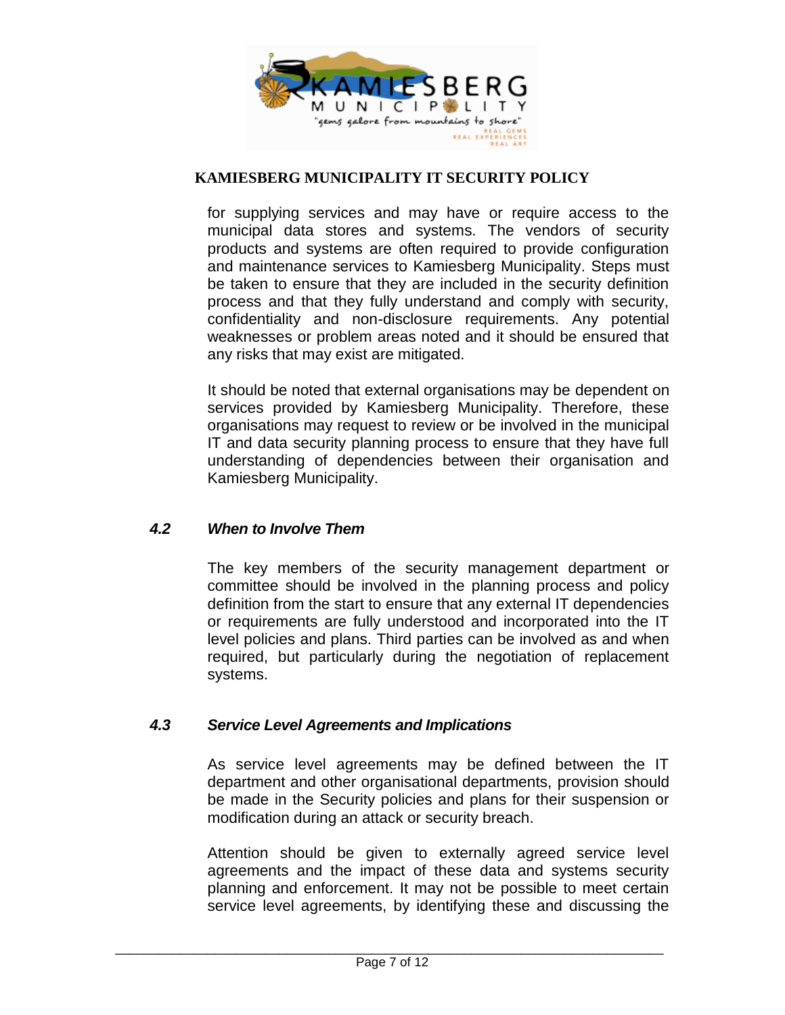

for supplying services and may have or require access to the municipal data stores and systems. The vendors of security products and systems are often required to provide configuration and maintenance services to Kamiesberg Municipality. Steps must be taken to ensure that they are included in the security definition process and that they fully understand and comply with security, confidentiality and non-disclosure requirements. Any potential weaknesses or problem areas noted and it should be ensured that any risks that may exist are mitigated.

It should be noted that external organisations may be dependent on services provided by Kamiesberg Municipality. Therefore, these organisations may request to review or be involved in the municipal IT and data security planning process to ensure that they have full understanding of dependencies between their organisation and Kamiesberg Municipality.

#### <span id="page-6-0"></span>*4.2 When to Involve Them*

The key members of the security management department or committee should be involved in the planning process and policy definition from the start to ensure that any external IT dependencies or requirements are fully understood and incorporated into the IT level policies and plans. Third parties can be involved as and when required, but particularly during the negotiation of replacement systems.

#### <span id="page-6-1"></span>*4.3 Service Level Agreements and Implications*

As service level agreements may be defined between the IT department and other organisational departments, provision should be made in the Security policies and plans for their suspension or modification during an attack or security breach.

Attention should be given to externally agreed service level agreements and the impact of these data and systems security planning and enforcement. It may not be possible to meet certain service level agreements, by identifying these and discussing the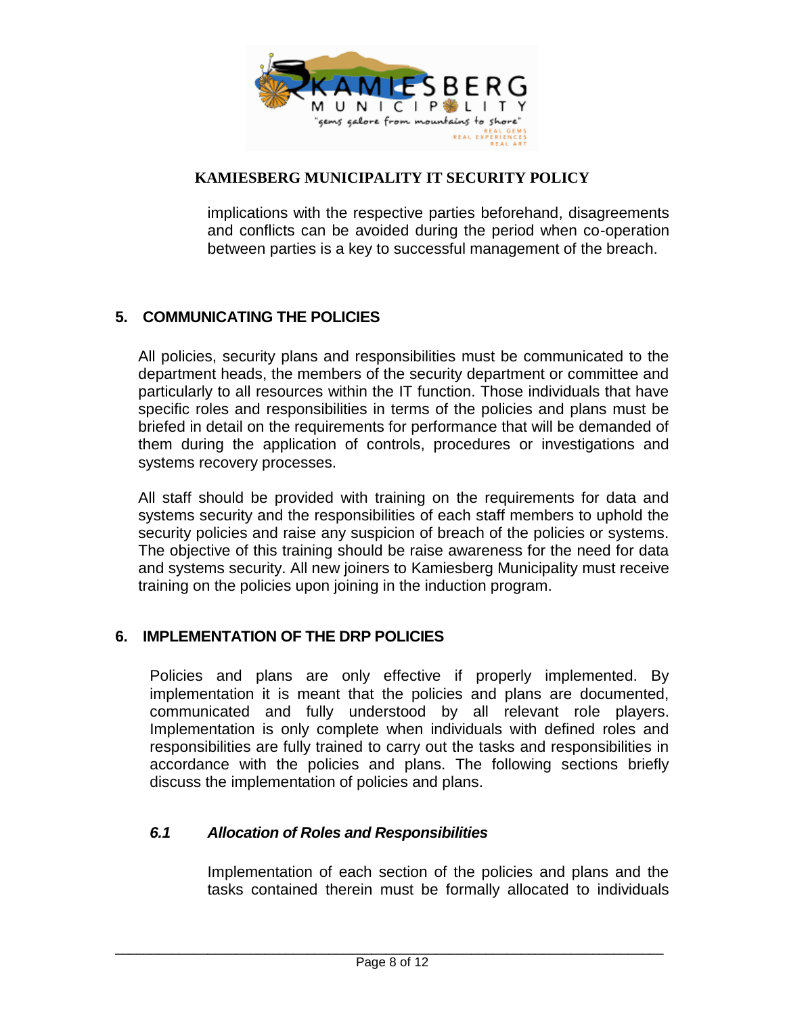

implications with the respective parties beforehand, disagreements and conflicts can be avoided during the period when co-operation between parties is a key to successful management of the breach.

# <span id="page-7-0"></span>**5. COMMUNICATING THE POLICIES**

All policies, security plans and responsibilities must be communicated to the department heads, the members of the security department or committee and particularly to all resources within the IT function. Those individuals that have specific roles and responsibilities in terms of the policies and plans must be briefed in detail on the requirements for performance that will be demanded of them during the application of controls, procedures or investigations and systems recovery processes.

All staff should be provided with training on the requirements for data and systems security and the responsibilities of each staff members to uphold the security policies and raise any suspicion of breach of the policies or systems. The objective of this training should be raise awareness for the need for data and systems security. All new joiners to Kamiesberg Municipality must receive training on the policies upon joining in the induction program.

#### <span id="page-7-1"></span>**6. IMPLEMENTATION OF THE DRP POLICIES**

Policies and plans are only effective if properly implemented. By implementation it is meant that the policies and plans are documented, communicated and fully understood by all relevant role players. Implementation is only complete when individuals with defined roles and responsibilities are fully trained to carry out the tasks and responsibilities in accordance with the policies and plans. The following sections briefly discuss the implementation of policies and plans.

#### <span id="page-7-2"></span>*6.1 Allocation of Roles and Responsibilities*

Implementation of each section of the policies and plans and the tasks contained therein must be formally allocated to individuals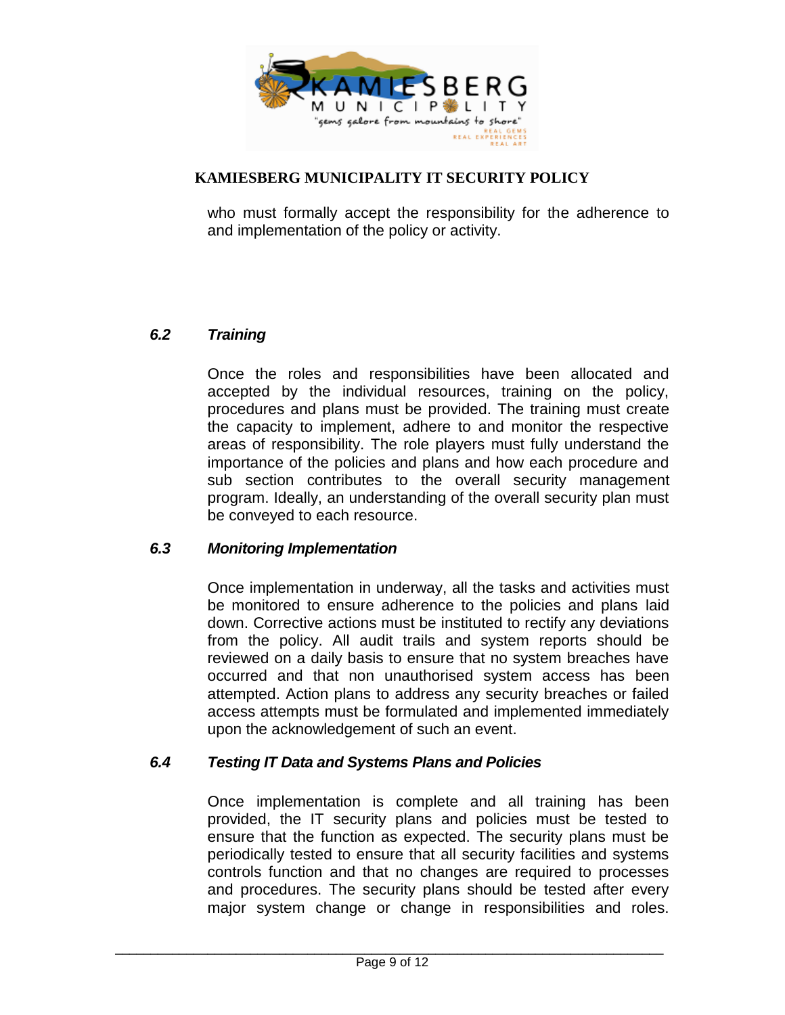

who must formally accept the responsibility for the adherence to and implementation of the policy or activity.

# <span id="page-8-0"></span>*6.2 Training*

Once the roles and responsibilities have been allocated and accepted by the individual resources, training on the policy, procedures and plans must be provided. The training must create the capacity to implement, adhere to and monitor the respective areas of responsibility. The role players must fully understand the importance of the policies and plans and how each procedure and sub section contributes to the overall security management program. Ideally, an understanding of the overall security plan must be conveyed to each resource.

#### <span id="page-8-1"></span>*6.3 Monitoring Implementation*

Once implementation in underway, all the tasks and activities must be monitored to ensure adherence to the policies and plans laid down. Corrective actions must be instituted to rectify any deviations from the policy. All audit trails and system reports should be reviewed on a daily basis to ensure that no system breaches have occurred and that non unauthorised system access has been attempted. Action plans to address any security breaches or failed access attempts must be formulated and implemented immediately upon the acknowledgement of such an event.

#### <span id="page-8-2"></span>*6.4 Testing IT Data and Systems Plans and Policies*

Once implementation is complete and all training has been provided, the IT security plans and policies must be tested to ensure that the function as expected. The security plans must be periodically tested to ensure that all security facilities and systems controls function and that no changes are required to processes and procedures. The security plans should be tested after every major system change or change in responsibilities and roles.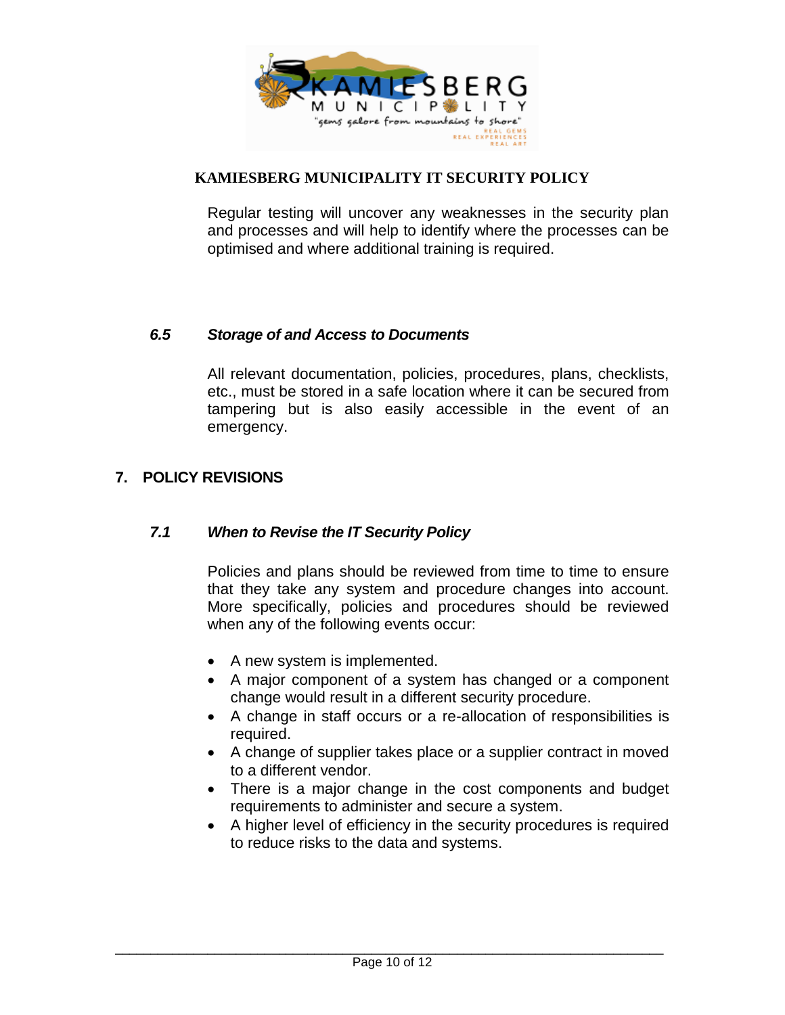

Regular testing will uncover any weaknesses in the security plan and processes and will help to identify where the processes can be optimised and where additional training is required.

# <span id="page-9-0"></span>*6.5 Storage of and Access to Documents*

All relevant documentation, policies, procedures, plans, checklists, etc., must be stored in a safe location where it can be secured from tampering but is also easily accessible in the event of an emergency.

# <span id="page-9-2"></span><span id="page-9-1"></span>**7. POLICY REVISIONS**

#### *7.1 When to Revise the IT Security Policy*

Policies and plans should be reviewed from time to time to ensure that they take any system and procedure changes into account. More specifically, policies and procedures should be reviewed when any of the following events occur:

- A new system is implemented.
- A major component of a system has changed or a component change would result in a different security procedure.
- A change in staff occurs or a re-allocation of responsibilities is required.
- A change of supplier takes place or a supplier contract in moved to a different vendor.
- There is a major change in the cost components and budget requirements to administer and secure a system.
- A higher level of efficiency in the security procedures is required to reduce risks to the data and systems.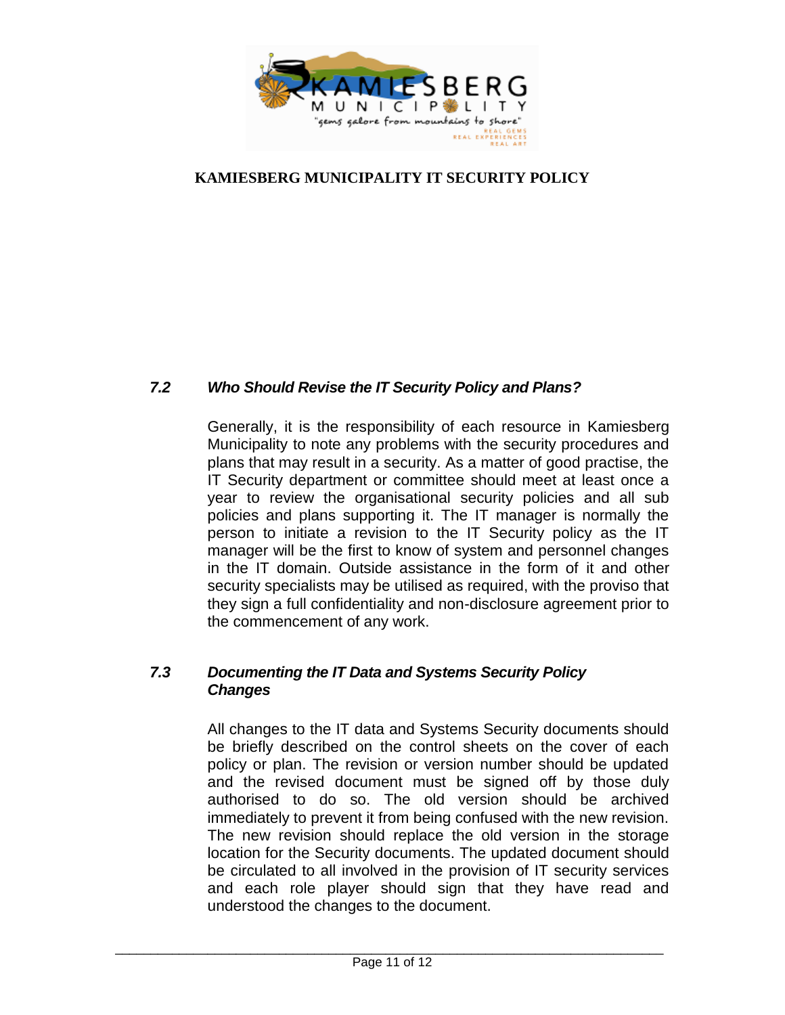

# <span id="page-10-0"></span>*7.2 Who Should Revise the IT Security Policy and Plans?*

Generally, it is the responsibility of each resource in Kamiesberg Municipality to note any problems with the security procedures and plans that may result in a security. As a matter of good practise, the IT Security department or committee should meet at least once a year to review the organisational security policies and all sub policies and plans supporting it. The IT manager is normally the person to initiate a revision to the IT Security policy as the IT manager will be the first to know of system and personnel changes in the IT domain. Outside assistance in the form of it and other security specialists may be utilised as required, with the proviso that they sign a full confidentiality and non-disclosure agreement prior to the commencement of any work.

# <span id="page-10-1"></span>*7.3 Documenting the IT Data and Systems Security Policy Changes*

All changes to the IT data and Systems Security documents should be briefly described on the control sheets on the cover of each policy or plan. The revision or version number should be updated and the revised document must be signed off by those duly authorised to do so. The old version should be archived immediately to prevent it from being confused with the new revision. The new revision should replace the old version in the storage location for the Security documents. The updated document should be circulated to all involved in the provision of IT security services and each role player should sign that they have read and understood the changes to the document.